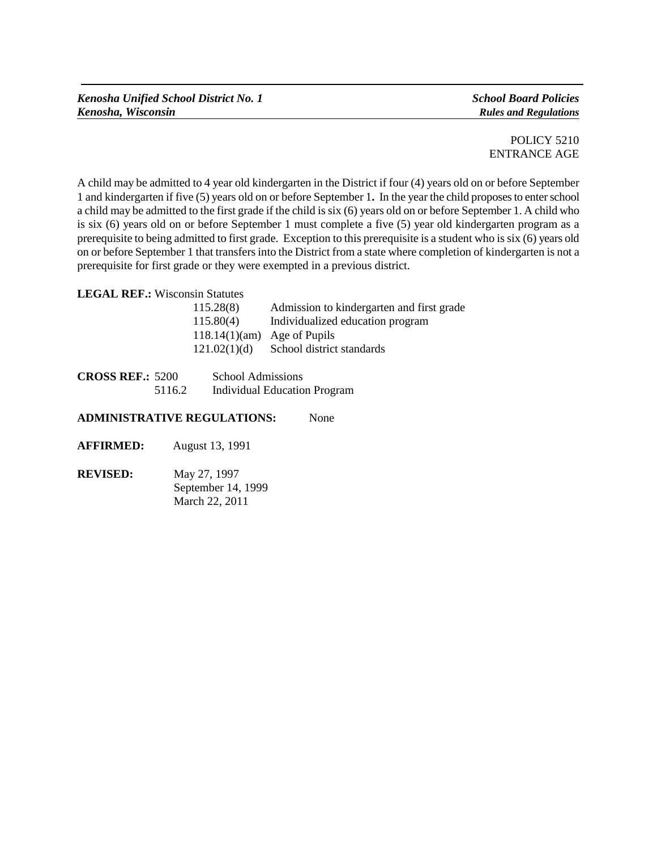*Kenosha Unified School District No. 1 School Board Policies Kenosha, Wisconsin Rules and Regulations*

A child may be admitted to 4 year old kindergarten in the District if four (4) years old on or before September 1 and kindergarten if five (5) years old on or before September 1**.** In the year the child proposes to enter school a child may be admitted to the first grade if the child is six (6) years old on or before September 1. A child who is six (6) years old on or before September 1 must complete a five (5) year old kindergarten program as a prerequisite to being admitted to first grade. Exception to this prerequisite is a student who is six (6) years old on or before September 1 that transfers into the District from a state where completion of kindergarten is not a prerequisite for first grade or they were exempted in a previous district.

**LEGAL REF.:** Wisconsin Statutes

| 115.28(8)                      | Admission to kindergarten and first grade |
|--------------------------------|-------------------------------------------|
| 115.80(4)                      | Individualized education program          |
| 118.14 $(1)(am)$ Age of Pupils |                                           |
| 121.02(1)(d)                   | School district standards                 |

| <b>CROSS REF.: 5200</b> |        | <b>School Admissions</b>            |
|-------------------------|--------|-------------------------------------|
|                         | 5116.2 | <b>Individual Education Program</b> |

## **ADMINISTRATIVE REGULATIONS:** None

- **AFFIRMED:** August 13, 1991
- **REVISED:** May 27, 1997 September 14, 1999 March 22, 2011